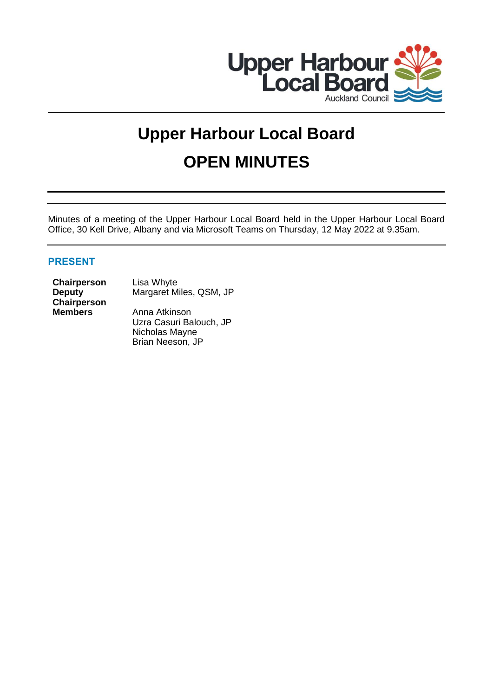

# **Upper Harbour Local Board OPEN MINUTES**

Minutes of a meeting of the Upper Harbour Local Board held in the Upper Harbour Local Board Office, 30 Kell Drive, Albany and via Microsoft Teams on Thursday, 12 May 2022 at 9.35am.

# **PRESENT**

**Chairperson** Lisa Whyte **Deputy Chairperson**

Margaret Miles, QSM, JP

**Members** Anna Atkinson Uzra Casuri Balouch, JP Nicholas Mayne Brian Neeson, JP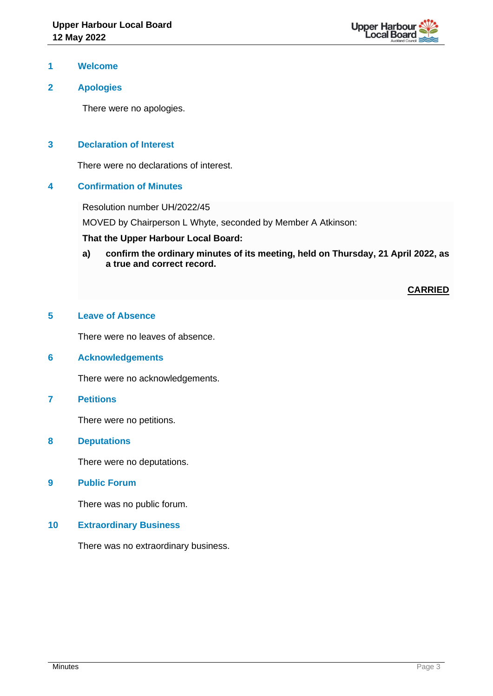

### **1 Welcome**

## **2 Apologies**

There were no apologies.

## **3 Declaration of Interest**

There were no declarations of interest.

## **4 Confirmation of Minutes**

Resolution number UH/2022/45

MOVED by Chairperson L Whyte, seconded by Member A Atkinson:

## **That the Upper Harbour Local Board:**

**a) confirm the ordinary minutes of its meeting, held on Thursday, 21 April 2022, as a true and correct record.**

**CARRIED**

## **5 Leave of Absence**

There were no leaves of absence.

## **6 Acknowledgements**

There were no acknowledgements.

#### **7 Petitions**

There were no petitions.

**8 Deputations**

There were no deputations.

**9 Public Forum**

There was no public forum.

#### **10 Extraordinary Business**

There was no extraordinary business.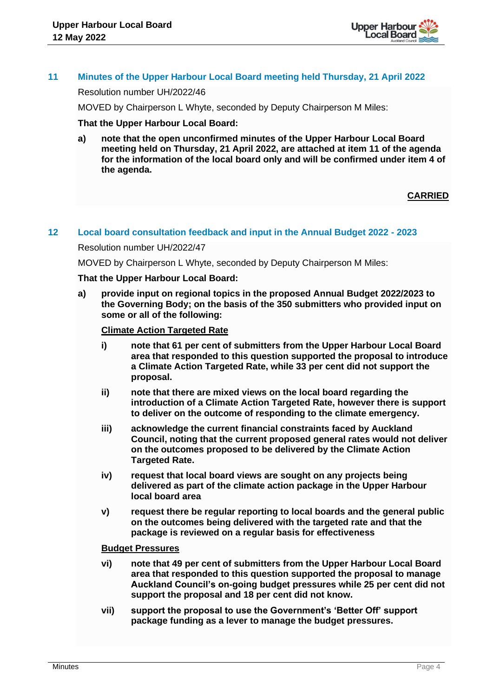

## **11 Minutes of the Upper Harbour Local Board meeting held Thursday, 21 April 2022**

Resolution number UH/2022/46

MOVED by Chairperson L Whyte, seconded by Deputy Chairperson M Miles:

### **That the Upper Harbour Local Board:**

**a) note that the open unconfirmed minutes of the Upper Harbour Local Board meeting held on Thursday, 21 April 2022, are attached at item 11 of the agenda for the information of the local board only and will be confirmed under item 4 of the agenda.**

## **CARRIED**

#### **12 Local board consultation feedback and input in the Annual Budget 2022 - 2023**

Resolution number UH/2022/47

MOVED by Chairperson L Whyte, seconded by Deputy Chairperson M Miles:

#### **That the Upper Harbour Local Board:**

**a) provide input on regional topics in the proposed Annual Budget 2022/2023 to the Governing Body; on the basis of the 350 submitters who provided input on some or all of the following:** 

## **Climate Action Targeted Rate**

- **i) note that 61 per cent of submitters from the Upper Harbour Local Board area that responded to this question supported the proposal to introduce a Climate Action Targeted Rate, while 33 per cent did not support the proposal.**
- **ii) note that there are mixed views on the local board regarding the introduction of a Climate Action Targeted Rate, however there is support to deliver on the outcome of responding to the climate emergency.**
- **iii) acknowledge the current financial constraints faced by Auckland Council, noting that the current proposed general rates would not deliver on the outcomes proposed to be delivered by the Climate Action Targeted Rate.**
- **iv) request that local board views are sought on any projects being delivered as part of the climate action package in the Upper Harbour local board area**
- **v) request there be regular reporting to local boards and the general public on the outcomes being delivered with the targeted rate and that the package is reviewed on a regular basis for effectiveness**

#### **Budget Pressures**

- **vi) note that 49 per cent of submitters from the Upper Harbour Local Board area that responded to this question supported the proposal to manage Auckland Council's on-going budget pressures while 25 per cent did not support the proposal and 18 per cent did not know.**
- **vii) support the proposal to use the Government's 'Better Off' support package funding as a lever to manage the budget pressures.**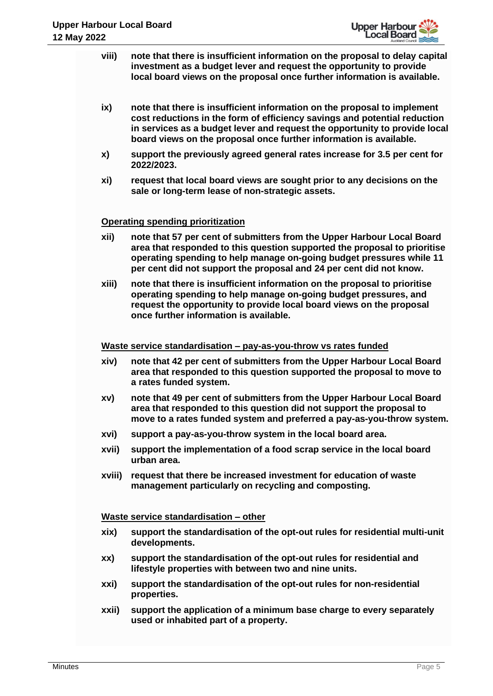

- **viii) note that there is insufficient information on the proposal to delay capital investment as a budget lever and request the opportunity to provide local board views on the proposal once further information is available.**
- **ix) note that there is insufficient information on the proposal to implement cost reductions in the form of efficiency savings and potential reduction in services as a budget lever and request the opportunity to provide local board views on the proposal once further information is available.**
- **x) support the previously agreed general rates increase for 3.5 per cent for 2022/2023.**
- **xi) request that local board views are sought prior to any decisions on the sale or long-term lease of non-strategic assets.**

## **Operating spending prioritization**

- **xii) note that 57 per cent of submitters from the Upper Harbour Local Board area that responded to this question supported the proposal to prioritise operating spending to help manage on-going budget pressures while 11 per cent did not support the proposal and 24 per cent did not know.**
- **xiii) note that there is insufficient information on the proposal to prioritise operating spending to help manage on-going budget pressures, and request the opportunity to provide local board views on the proposal once further information is available.**

#### **Waste service standardisation – pay-as-you-throw vs rates funded**

- **xiv) note that 42 per cent of submitters from the Upper Harbour Local Board area that responded to this question supported the proposal to move to a rates funded system.**
- **xv) note that 49 per cent of submitters from the Upper Harbour Local Board area that responded to this question did not support the proposal to move to a rates funded system and preferred a pay-as-you-throw system.**
- **xvi) support a pay-as-you-throw system in the local board area.**
- **xvii) support the implementation of a food scrap service in the local board urban area.**
- **xviii) request that there be increased investment for education of waste management particularly on recycling and composting.**

#### **Waste service standardisation – other**

- **xix) support the standardisation of the opt-out rules for residential multi-unit developments.**
- **xx) support the standardisation of the opt-out rules for residential and lifestyle properties with between two and nine units.**
- **xxi) support the standardisation of the opt-out rules for non-residential properties.**
- **xxii) support the application of a minimum base charge to every separately used or inhabited part of a property.**